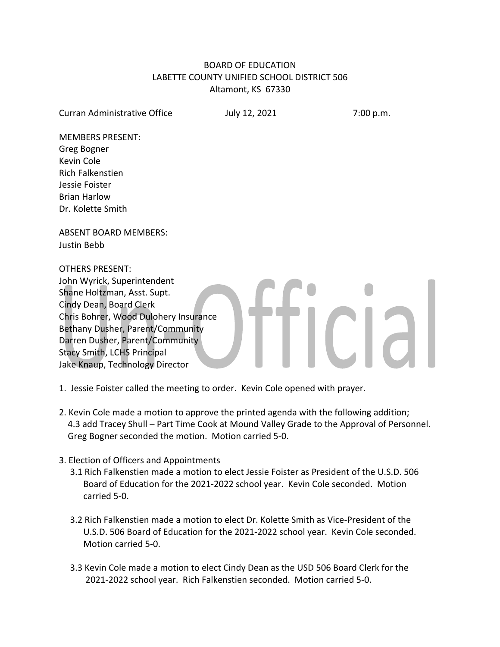# BOARD OF EDUCATION LABETTE COUNTY UNIFIED SCHOOL DISTRICT 506 Altamont, KS 67330

Curran Administrative Office **July 12, 2021** 7:00 p.m.

CIA

MEMBERS PRESENT: Greg Bogner Kevin Cole Rich Falkenstien Jessie Foister Brian Harlow Dr. Kolette Smith

ABSENT BOARD MEMBERS: Justin Bebb

OTHERS PRESENT:

John Wyrick, Superintendent Shane Holtzman, Asst. Supt. Cindy Dean, Board Clerk Chris Bohrer, Wood Dulohery Insurance Bethany Dusher, Parent/Community Darren Dusher, Parent/Community Stacy Smith, LCHS Principal Jake Knaup, Technology Director

1. Jessie Foister called the meeting to order. Kevin Cole opened with prayer.

- 2. Kevin Cole made a motion to approve the printed agenda with the following addition; 4.3 add Tracey Shull – Part Time Cook at Mound Valley Grade to the Approval of Personnel. Greg Bogner seconded the motion. Motion carried 5-0.
- 3. Election of Officers and Appointments
	- 3.1 Rich Falkenstien made a motion to elect Jessie Foister as President of the U.S.D. 506 Board of Education for the 2021-2022 school year. Kevin Cole seconded. Motion carried 5-0.
	- 3.2 Rich Falkenstien made a motion to elect Dr. Kolette Smith as Vice-President of the U.S.D. 506 Board of Education for the 2021-2022 school year. Kevin Cole seconded. Motion carried 5-0.
	- 3.3 Kevin Cole made a motion to elect Cindy Dean as the USD 506 Board Clerk for the 2021-2022 school year. Rich Falkenstien seconded. Motion carried 5-0.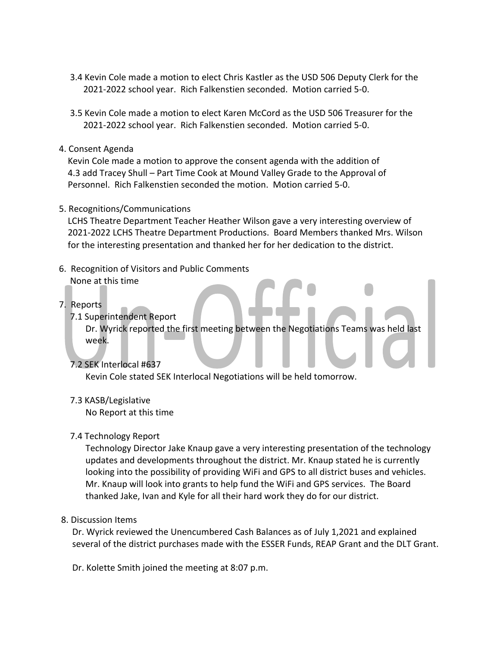- 3.4 Kevin Cole made a motion to elect Chris Kastler as the USD 506 Deputy Clerk for the 2021-2022 school year. Rich Falkenstien seconded. Motion carried 5-0.
- 3.5 Kevin Cole made a motion to elect Karen McCord as the USD 506 Treasurer for the 2021-2022 school year. Rich Falkenstien seconded. Motion carried 5-0.
- 4. Consent Agenda

 Kevin Cole made a motion to approve the consent agenda with the addition of 4.3 add Tracey Shull – Part Time Cook at Mound Valley Grade to the Approval of Personnel. Rich Falkenstien seconded the motion. Motion carried 5-0.

5. Recognitions/Communications

 LCHS Theatre Department Teacher Heather Wilson gave a very interesting overview of 2021-2022 LCHS Theatre Department Productions. Board Members thanked Mrs. Wilson for the interesting presentation and thanked her for her dedication to the district.

- 6. Recognition of Visitors and Public Comments None at this time
- 7. Reports
	- 7.1 Superintendent Report

 Dr. Wyrick reported the first meeting between the Negotiations Teams was held last week.

7.2 SEK Interlocal #637

Kevin Cole stated SEK Interlocal Negotiations will be held tomorrow.

# 7.3 KASB/Legislative

No Report at this time

# 7.4 Technology Report

 Technology Director Jake Knaup gave a very interesting presentation of the technology updates and developments throughout the district. Mr. Knaup stated he is currently looking into the possibility of providing WiFi and GPS to all district buses and vehicles. Mr. Knaup will look into grants to help fund the WiFi and GPS services. The Board thanked Jake, Ivan and Kyle for all their hard work they do for our district.

#### 8. Discussion Items

 Dr. Wyrick reviewed the Unencumbered Cash Balances as of July 1,2021 and explained several of the district purchases made with the ESSER Funds, REAP Grant and the DLT Grant.

Dr. Kolette Smith joined the meeting at 8:07 p.m.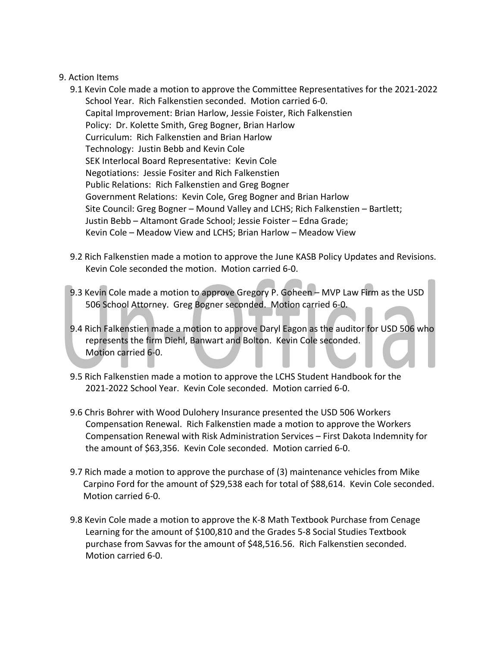#### 9. Action Items

- 9.1 Kevin Cole made a motion to approve the Committee Representatives for the 2021-2022 School Year. Rich Falkenstien seconded. Motion carried 6-0. Capital Improvement: Brian Harlow, Jessie Foister, Rich Falkenstien Policy: Dr. Kolette Smith, Greg Bogner, Brian Harlow Curriculum: Rich Falkenstien and Brian Harlow Technology: Justin Bebb and Kevin Cole SEK Interlocal Board Representative: Kevin Cole Negotiations: Jessie Fositer and Rich Falkenstien Public Relations: Rich Falkenstien and Greg Bogner Government Relations: Kevin Cole, Greg Bogner and Brian Harlow Site Council: Greg Bogner – Mound Valley and LCHS; Rich Falkenstien – Bartlett; Justin Bebb – Altamont Grade School; Jessie Foister – Edna Grade; Kevin Cole – Meadow View and LCHS; Brian Harlow – Meadow View
- 9.2 Rich Falkenstien made a motion to approve the June KASB Policy Updates and Revisions. Kevin Cole seconded the motion. Motion carried 6-0.
- 9.3 Kevin Cole made a motion to approve Gregory P. Goheen MVP Law Firm as the USD 506 School Attorney. Greg Bogner seconded. Motion carried 6-0.
- 9.4 Rich Falkenstien made a motion to approve Daryl Eagon as the auditor for USD 506 who represents the firm Diehl, Banwart and Bolton. Kevin Cole seconded. Motion carried 6-0.
- 9.5 Rich Falkenstien made a motion to approve the LCHS Student Handbook for the 2021-2022 School Year. Kevin Cole seconded. Motion carried 6-0.
- 9.6 Chris Bohrer with Wood Dulohery Insurance presented the USD 506 Workers Compensation Renewal. Rich Falkenstien made a motion to approve the Workers Compensation Renewal with Risk Administration Services – First Dakota Indemnity for the amount of \$63,356. Kevin Cole seconded. Motion carried 6-0.
- 9.7 Rich made a motion to approve the purchase of (3) maintenance vehicles from Mike Carpino Ford for the amount of \$29,538 each for total of \$88,614. Kevin Cole seconded. Motion carried 6-0.
- 9.8 Kevin Cole made a motion to approve the K-8 Math Textbook Purchase from Cenage Learning for the amount of \$100,810 and the Grades 5-8 Social Studies Textbook purchase from Savvas for the amount of \$48,516.56. Rich Falkenstien seconded. Motion carried 6-0.